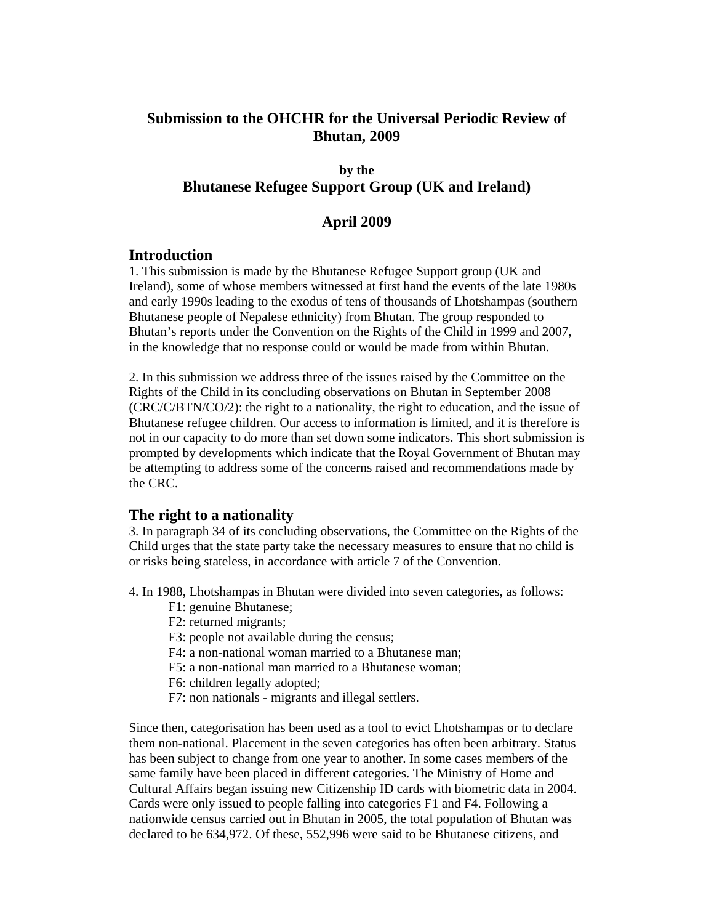# **Submission to the OHCHR for the Universal Periodic Review of Bhutan, 2009**

### **by the Bhutanese Refugee Support Group (UK and Ireland)**

## **April 2009**

### **Introduction**

1. This submission is made by the Bhutanese Refugee Support group (UK and Ireland), some of whose members witnessed at first hand the events of the late 1980s and early 1990s leading to the exodus of tens of thousands of Lhotshampas (southern Bhutanese people of Nepalese ethnicity) from Bhutan. The group responded to Bhutan's reports under the Convention on the Rights of the Child in 1999 and 2007, in the knowledge that no response could or would be made from within Bhutan.

2. In this submission we address three of the issues raised by the Committee on the Rights of the Child in its concluding observations on Bhutan in September 2008 (CRC/C/BTN/CO/2): the right to a nationality, the right to education, and the issue of Bhutanese refugee children. Our access to information is limited, and it is therefore is not in our capacity to do more than set down some indicators. This short submission is prompted by developments which indicate that the Royal Government of Bhutan may be attempting to address some of the concerns raised and recommendations made by the CRC.

## **The right to a nationality**

3. In paragraph 34 of its concluding observations, the Committee on the Rights of the Child urges that the state party take the necessary measures to ensure that no child is or risks being stateless, in accordance with article 7 of the Convention.

4. In 1988, Lhotshampas in Bhutan were divided into seven categories, as follows:

- F1: genuine Bhutanese;
- F2: returned migrants;
- F3: people not available during the census;
- F4: a non-national woman married to a Bhutanese man;
- F5: a non-national man married to a Bhutanese woman;
- F6: children legally adopted;
- F7: non nationals migrants and illegal settlers.

Since then, categorisation has been used as a tool to evict Lhotshampas or to declare them non-national. Placement in the seven categories has often been arbitrary. Status has been subject to change from one year to another. In some cases members of the same family have been placed in different categories. The Ministry of Home and Cultural Affairs began issuing new Citizenship ID cards with biometric data in 2004. Cards were only issued to people falling into categories F1 and F4. Following a nationwide census carried out in Bhutan in 2005, the total population of Bhutan was declared to be 634,972. Of these, 552,996 were said to be Bhutanese citizens, and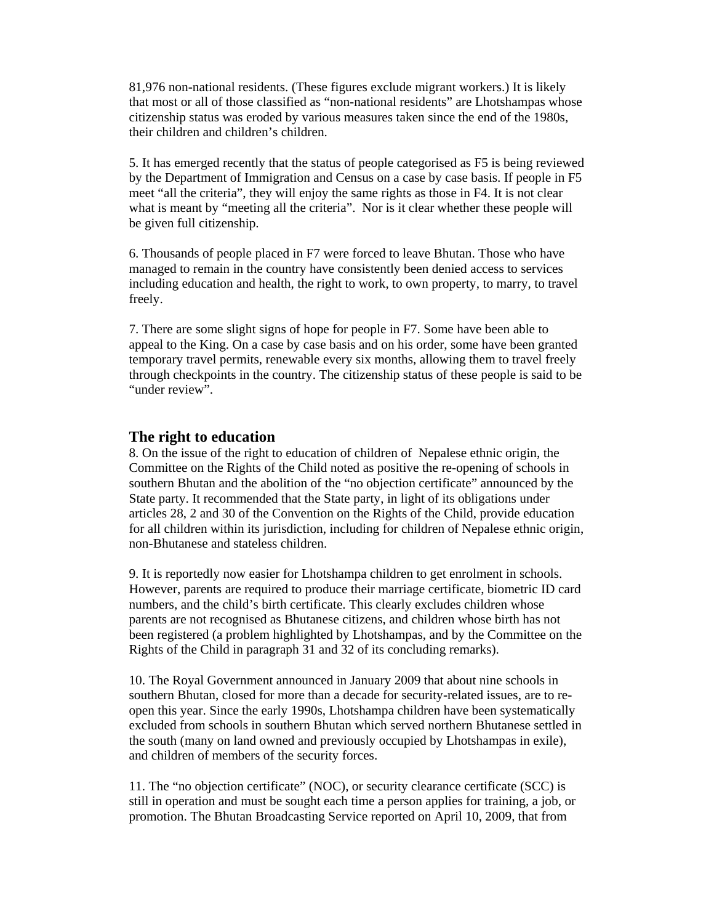81,976 non-national residents. (These figures exclude migrant workers.) It is likely that most or all of those classified as "non-national residents" are Lhotshampas whose citizenship status was eroded by various measures taken since the end of the 1980s, their children and children's children.

5. It has emerged recently that the status of people categorised as F5 is being reviewed by the Department of Immigration and Census on a case by case basis. If people in F5 meet "all the criteria", they will enjoy the same rights as those in F4. It is not clear what is meant by "meeting all the criteria". Nor is it clear whether these people will be given full citizenship.

6. Thousands of people placed in F7 were forced to leave Bhutan. Those who have managed to remain in the country have consistently been denied access to services including education and health, the right to work, to own property, to marry, to travel freely.

7. There are some slight signs of hope for people in F7. Some have been able to appeal to the King. On a case by case basis and on his order, some have been granted temporary travel permits, renewable every six months, allowing them to travel freely through checkpoints in the country. The citizenship status of these people is said to be "under review".

#### **The right to education**

8. On the issue of the right to education of children of Nepalese ethnic origin, the Committee on the Rights of the Child noted as positive the re-opening of schools in southern Bhutan and the abolition of the "no objection certificate" announced by the State party. It recommended that the State party, in light of its obligations under articles 28, 2 and 30 of the Convention on the Rights of the Child, provide education for all children within its jurisdiction, including for children of Nepalese ethnic origin, non-Bhutanese and stateless children.

9. It is reportedly now easier for Lhotshampa children to get enrolment in schools. However, parents are required to produce their marriage certificate, biometric ID card numbers, and the child's birth certificate. This clearly excludes children whose parents are not recognised as Bhutanese citizens, and children whose birth has not been registered (a problem highlighted by Lhotshampas, and by the Committee on the Rights of the Child in paragraph 31 and 32 of its concluding remarks).

10. The Royal Government announced in January 2009 that about nine schools in southern Bhutan, closed for more than a decade for security-related issues, are to reopen this year. Since the early 1990s, Lhotshampa children have been systematically excluded from schools in southern Bhutan which served northern Bhutanese settled in the south (many on land owned and previously occupied by Lhotshampas in exile), and children of members of the security forces.

11. The "no objection certificate" (NOC), or security clearance certificate (SCC) is still in operation and must be sought each time a person applies for training, a job, or promotion. The Bhutan Broadcasting Service reported on April 10, 2009, that from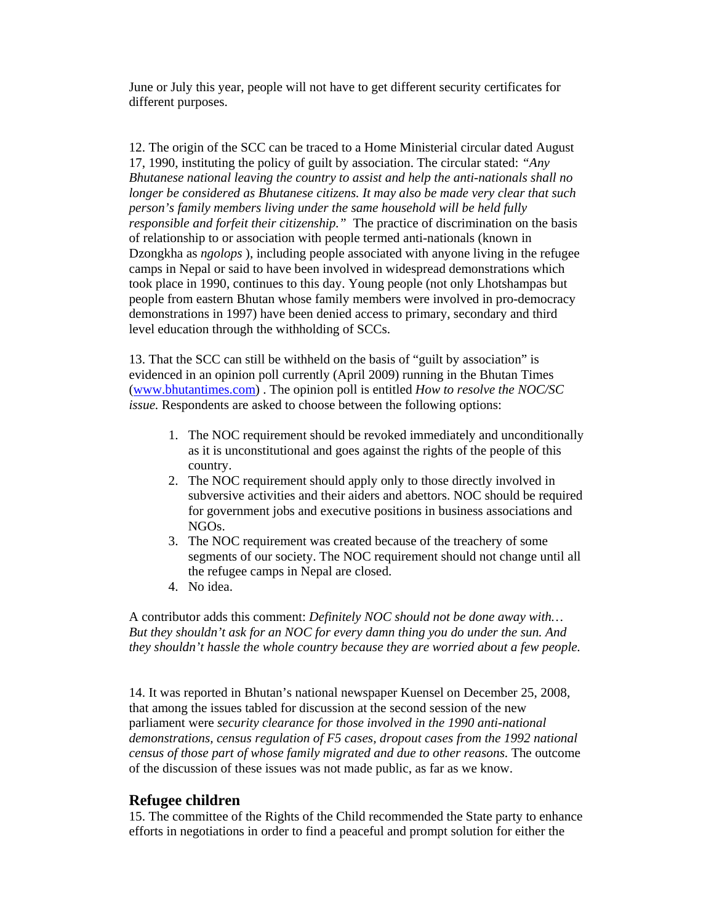June or July this year, people will not have to get different security certificates for different purposes.

12. The origin of the SCC can be traced to a Home Ministerial circular dated August 17, 1990, instituting the policy of guilt by association. The circular stated: *"Any Bhutanese national leaving the country to assist and help the anti-nationals shall no longer be considered as Bhutanese citizens. It may also be made very clear that such person's family members living under the same household will be held fully responsible and forfeit their citizenship."* The practice of discrimination on the basis of relationship to or association with people termed anti-nationals (known in Dzongkha as *ngolops* ), including people associated with anyone living in the refugee camps in Nepal or said to have been involved in widespread demonstrations which took place in 1990, continues to this day. Young people (not only Lhotshampas but people from eastern Bhutan whose family members were involved in pro-democracy demonstrations in 1997) have been denied access to primary, secondary and third level education through the withholding of SCCs.

13. That the SCC can still be withheld on the basis of "guilt by association" is evidenced in an opinion poll currently (April 2009) running in the Bhutan Times (www.bhutantimes.com) . The opinion poll is entitled *How to resolve the NOC/SC issue.* Respondents are asked to choose between the following options:

- 1. The NOC requirement should be revoked immediately and unconditionally as it is unconstitutional and goes against the rights of the people of this country.
- 2. The NOC requirement should apply only to those directly involved in subversive activities and their aiders and abettors. NOC should be required for government jobs and executive positions in business associations and NGOs.
- 3. The NOC requirement was created because of the treachery of some segments of our society. The NOC requirement should not change until all the refugee camps in Nepal are closed.
- 4. No idea.

A contributor adds this comment: *Definitely NOC should not be done away with… But they shouldn't ask for an NOC for every damn thing you do under the sun. And they shouldn't hassle the whole country because they are worried about a few people.* 

14. It was reported in Bhutan's national newspaper Kuensel on December 25, 2008, that among the issues tabled for discussion at the second session of the new parliament were *security clearance for those involved in the 1990 anti-national demonstrations, census regulation of F5 cases, dropout cases from the 1992 national census of those part of whose family migrated and due to other reasons*. The outcome of the discussion of these issues was not made public, as far as we know.

### **Refugee children**

15. The committee of the Rights of the Child recommended the State party to enhance efforts in negotiations in order to find a peaceful and prompt solution for either the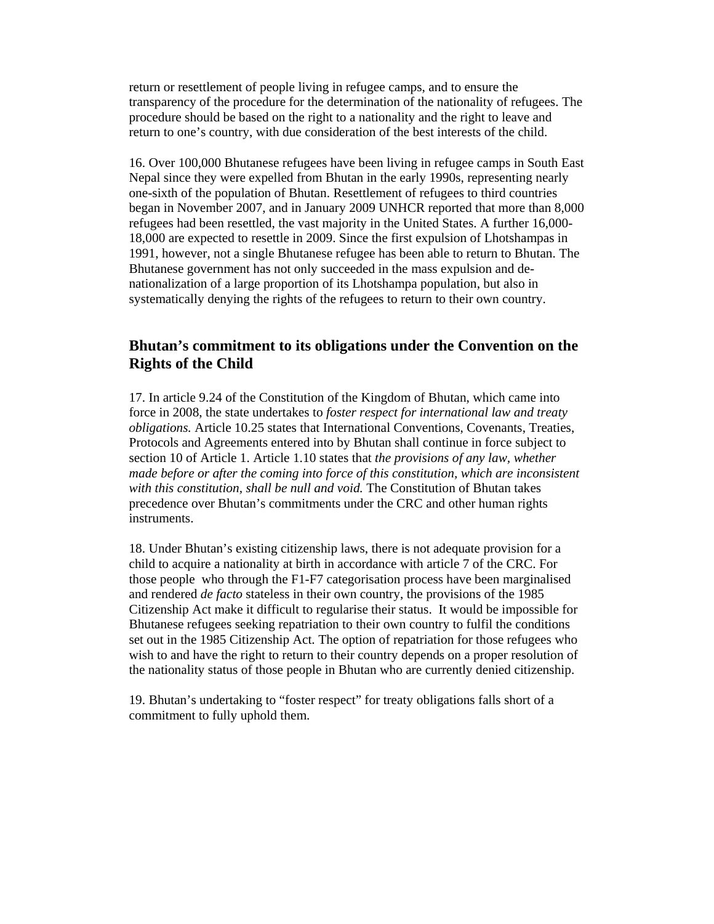return or resettlement of people living in refugee camps, and to ensure the transparency of the procedure for the determination of the nationality of refugees. The procedure should be based on the right to a nationality and the right to leave and return to one's country, with due consideration of the best interests of the child.

16. Over 100,000 Bhutanese refugees have been living in refugee camps in South East Nepal since they were expelled from Bhutan in the early 1990s, representing nearly one-sixth of the population of Bhutan. Resettlement of refugees to third countries began in November 2007, and in January 2009 UNHCR reported that more than 8,000 refugees had been resettled, the vast majority in the United States. A further 16,000- 18,000 are expected to resettle in 2009. Since the first expulsion of Lhotshampas in 1991, however, not a single Bhutanese refugee has been able to return to Bhutan. The Bhutanese government has not only succeeded in the mass expulsion and denationalization of a large proportion of its Lhotshampa population, but also in systematically denying the rights of the refugees to return to their own country.

## **Bhutan's commitment to its obligations under the Convention on the Rights of the Child**

17. In article 9.24 of the Constitution of the Kingdom of Bhutan, which came into force in 2008, the state undertakes to *foster respect for international law and treaty obligations.* Article 10.25 states that International Conventions, Covenants, Treaties, Protocols and Agreements entered into by Bhutan shall continue in force subject to section 10 of Article 1. Article 1.10 states that *the provisions of any law, whether made before or after the coming into force of this constitution, which are inconsistent with this constitution, shall be null and void.* The Constitution of Bhutan takes precedence over Bhutan's commitments under the CRC and other human rights instruments.

18. Under Bhutan's existing citizenship laws, there is not adequate provision for a child to acquire a nationality at birth in accordance with article 7 of the CRC. For those people who through the F1-F7 categorisation process have been marginalised and rendered *de facto* stateless in their own country, the provisions of the 1985 Citizenship Act make it difficult to regularise their status. It would be impossible for Bhutanese refugees seeking repatriation to their own country to fulfil the conditions set out in the 1985 Citizenship Act. The option of repatriation for those refugees who wish to and have the right to return to their country depends on a proper resolution of the nationality status of those people in Bhutan who are currently denied citizenship.

19. Bhutan's undertaking to "foster respect" for treaty obligations falls short of a commitment to fully uphold them.